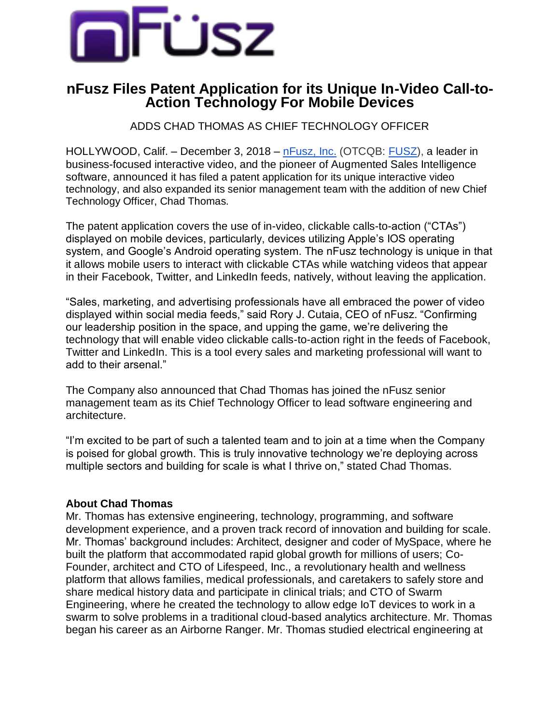

## **nFusz Files Patent Application for its Unique In-Video Call-to-Action Technology For Mobile Devices**

ADDS CHAD THOMAS AS CHIEF TECHNOLOGY OFFICER

HOLLYWOOD, Calif. – December 3, 2018 – [nFusz, Inc.](http://nfusz.com/) (OTCQB[:](https://finance.yahoo.com/quote/fusz?ltr=1) [FUSZ\)](https://finance.yahoo.com/quote/fusz?ltr=1), a leader in business-focused interactive video, and the pioneer of Augmented Sales Intelligence software, announced it has filed a patent application for its unique interactive video technology, and also expanded its senior management team with the addition of new Chief Technology Officer, Chad Thomas.

The patent application covers the use of in-video, clickable calls-to-action ("CTAs") displayed on mobile devices, particularly, devices utilizing Apple's IOS operating system, and Google's Android operating system. The nFusz technology is unique in that it allows mobile users to interact with clickable CTAs while watching videos that appear in their Facebook, Twitter, and LinkedIn feeds, natively, without leaving the application.

"Sales, marketing, and advertising professionals have all embraced the power of video displayed within social media feeds," said Rory J. Cutaia, CEO of nFusz. "Confirming our leadership position in the space, and upping the game, we're delivering the technology that will enable video clickable calls-to-action right in the feeds of Facebook, Twitter and LinkedIn. This is a tool every sales and marketing professional will want to add to their arsenal."

The Company also announced that Chad Thomas has joined the nFusz senior management team as its Chief Technology Officer to lead software engineering and architecture.

"I'm excited to be part of such a talented team and to join at a time when the Company is poised for global growth. This is truly innovative technology we're deploying across multiple sectors and building for scale is what I thrive on," stated Chad Thomas.

## **About Chad Thomas**

Mr. Thomas has extensive engineering, technology, programming, and software development experience, and a proven track record of innovation and building for scale. Mr. Thomas' background includes: Architect, designer and coder of MySpace, where he built the platform that accommodated rapid global growth for millions of users; Co-Founder, architect and CTO of Lifespeed, Inc., a revolutionary health and wellness platform that allows families, medical professionals, and caretakers to safely store and share medical history data and participate in clinical trials; and CTO of Swarm Engineering, where he created the technology to allow edge IoT devices to work in a swarm to solve problems in a traditional cloud-based analytics architecture. Mr. Thomas began his career as an Airborne Ranger. Mr. Thomas studied electrical engineering at